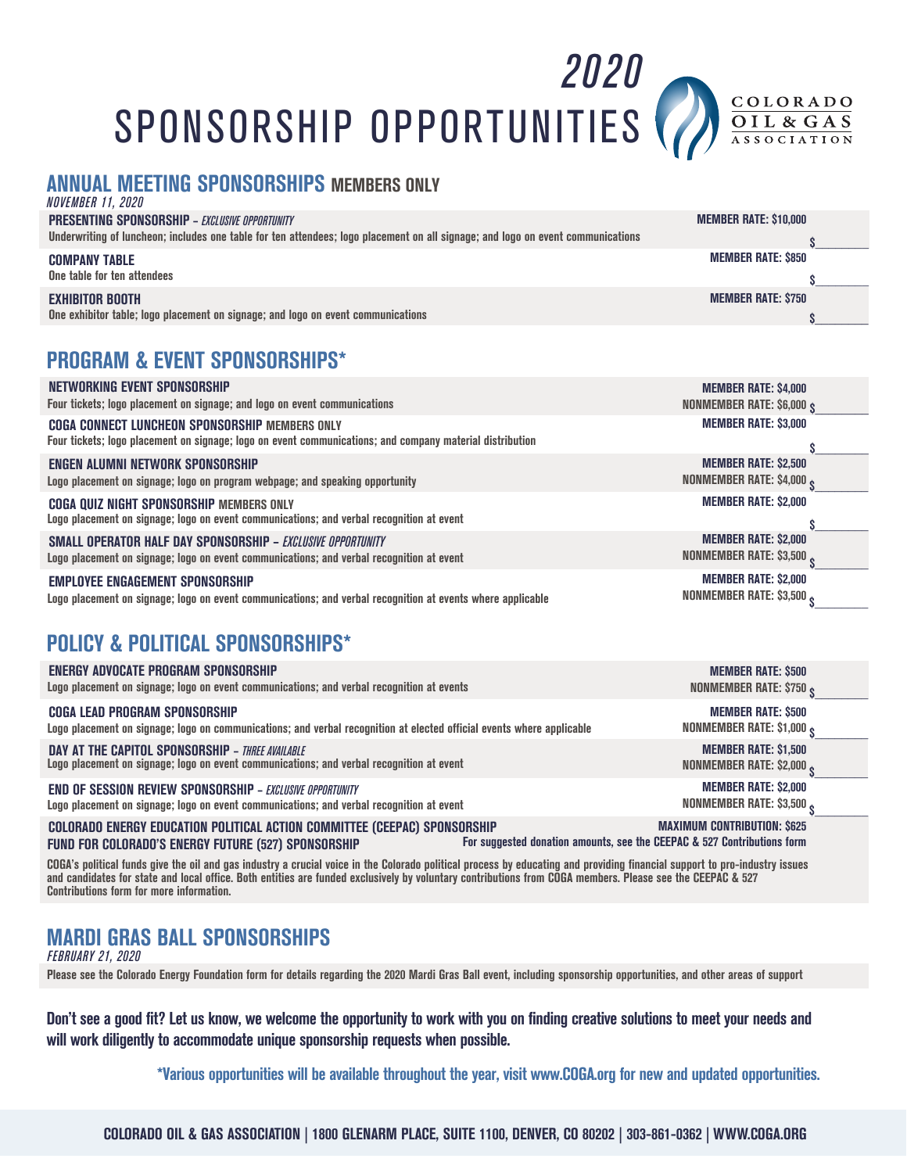SPONSORSHIP OPPORTUNITIES



*2020*

### **ANNUAL MEETING SPONSORSHIPS MEMBERS ONLY**

| <i>NOVEMBER 11, 2020</i>                                                                                                        |                              |
|---------------------------------------------------------------------------------------------------------------------------------|------------------------------|
| <b>PRESENTING SPONSORSHIP - EXCLUSIVE OPPORTUNITY</b>                                                                           | <b>MEMBER RATE: \$10,000</b> |
| Underwriting of luncheon; includes one table for ten attendees; logo placement on all signage; and logo on event communications |                              |
| <b>COMPANY TABLE</b>                                                                                                            | <b>MEMBER RATE: \$850</b>    |
| One table for ten attendees                                                                                                     |                              |
| <b>EXHIBITOR BOOTH</b>                                                                                                          | <b>MEMBER RATE: \$750</b>    |
| One exhibitor table; logo placement on signage; and logo on event communications                                                |                              |
|                                                                                                                                 |                              |

### **PROGRAM & EVENT SPONSORSHIPS\***

| NETWORKING EVENT SPONSORSHIP                                                                                                                               | <b>MEMBER RATE: \$4,000</b>       |
|------------------------------------------------------------------------------------------------------------------------------------------------------------|-----------------------------------|
| Four tickets; logo placement on signage; and logo on event communications                                                                                  | <b>NONMEMBER RATE: \$6,000 \$</b> |
| COGA CONNECT LUNCHEON SPONSORSHIP MEMBERS ONLY<br>Four tickets; logo placement on signage; logo on event communications; and company material distribution | <b>MEMBER RATE: \$3,000</b>       |
| ENGEN ALUMNI NETWORK SPONSORSHIP                                                                                                                           | <b>MEMBER RATE: \$2,500</b>       |
| Logo placement on signage; logo on program webpage; and speaking opportunity                                                                               | NONMEMBER RATE: \$4,000 c         |
| <b>COGA QUIZ NIGHT SPONSORSHIP MEMBERS ONLY</b><br>Logo placement on signage; logo on event communications; and verbal recognition at event                | <b>MEMBER RATE: \$2,000</b>       |
| SMALL OPERATOR HALF DAY SPONSORSHIP - EXCLUSIVE OPPORTUNITY                                                                                                | <b>MEMBER RATE: \$2,000</b>       |
| Logo placement on signage; logo on event communications; and verbal recognition at event                                                                   | NONMEMBER RATE: \$3,500           |
| <b>EMPLOYEE ENGAGEMENT SPONSORSHIP</b>                                                                                                                     | <b>MEMBER RATE: \$2,000</b>       |
| Logo placement on signage; logo on event communications; and verbal recognition at events where applicable                                                 | NONMEMBER RATE: \$3,500           |

## **POLICY & POLITICAL SPONSORSHIPS\***

| ENERGY ADVOCATE PROGRAM SPONSORSHIP                                                                                   | <b>MEMBER RATE: \$500</b>                                               |
|-----------------------------------------------------------------------------------------------------------------------|-------------------------------------------------------------------------|
| Logo placement on signage; logo on event communications; and verbal recognition at events                             | NONMEMBER RATE: \$750 g                                                 |
| <b>COGA LEAD PROGRAM SPONSORSHIP</b>                                                                                  | <b>MEMBER RATE: \$500</b>                                               |
| Logo placement on signage; logo on communications; and verbal recognition at elected official events where applicable | <b>NONMEMBER RATE: \$1,000 \$</b>                                       |
| <b>DAY AT THE CAPITOL SPONSORSHIP - THREE AVAILABLE</b>                                                               | <b>MEMBER RATE: \$1,500</b>                                             |
| Logo placement on signage; logo on event communications; and verbal recognition at event                              | NONMEMBER RATE: \$2,000 c                                               |
| <b>END OF SESSION REVIEW SPONSORSHIP - EXCLUSIVE OPPORTUNITY</b>                                                      | <b>MEMBER RATE: \$2,000</b>                                             |
| Logo placement on signage; logo on event communications; and verbal recognition at event                              | NONMEMBER RATE: \$3,500 c                                               |
| COLORADO ENERGY EDUCATION POLITICAL ACTION COMMITTEE (CEEPAC) SPONSORSHIP                                             | <b>MAXIMUM CONTRIBUTION: \$625</b>                                      |
| <b>FUND FOR COLORADO'S ENERGY FUTURE (527) SPONSORSHIP</b>                                                            | For suggested donation amounts, see the CEEPAC & 527 Contributions form |

**COGA's political funds give the oil and gas industry a crucial voice in the Colorado political process by educating and providing financial support to pro-industry issues and candidates for state and local office. Both entities are funded exclusively by voluntary contributions from COGA members. Please see the CEEPAC & 527 Contributions form for more information.**

## **MARDI GRAS BALL SPONSORSHIPS**

*FEBRUARY 21, 2020*

**Please see the Colorado Energy Foundation form for details regarding the 2020 Mardi Gras Ball event, including sponsorship opportunities, and other areas of support**

**Don't see a good fit? Let us know, we welcome the opportunity to work with you on finding creative solutions to meet your needs and will work diligently to accommodate unique sponsorship requests when possible.** 

**\*Various opportunities will be available throughout the year, visit www.COGA.org for new and updated opportunities.**